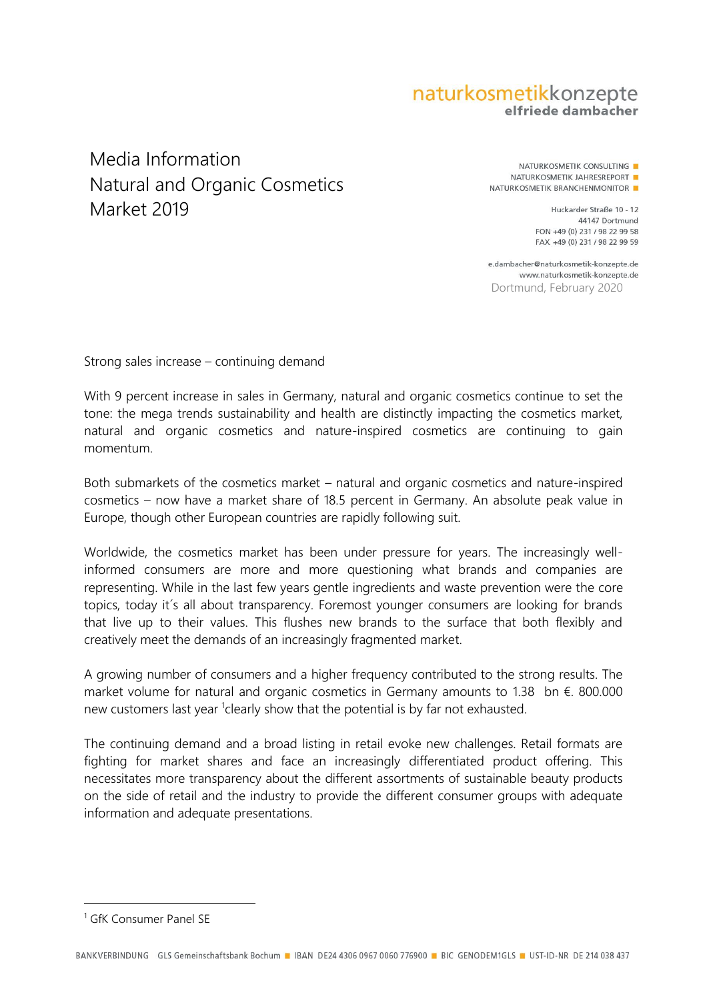## naturkosmetikkonzepte elfriede dambacher

## . Natural and Organic Cosmetics Media Information Market 2019

NATURKOSMETIK CONSULTING NATURKOSMETIK JAHRESREPORT NATURKOSMETIK BRANCHENMONITOR

> Huckarder Straße 10 - 12 44147 Dortmund FON +49 (0) 231 / 98 22 99 58 FAX +49 (0) 231 / 98 22 99 59

e.dambacher@naturkosmetik-konzepte.de www.naturkosmetik-konzepte.de Dortmund, February 2020

Strong sales increase – continuing demand

With 9 percent increase in sales in Germany, natural and organic cosmetics continue to set the tone: the mega trends sustainability and health are distinctly impacting the cosmetics market, natural and organic cosmetics and nature-inspired cosmetics are continuing to gain momentum.

Both submarkets of the cosmetics market – natural and organic cosmetics and nature-inspired cosmetics – now have a market share of 18.5 percent in Germany. An absolute peak value in Europe, though other European countries are rapidly following suit.

Worldwide, the cosmetics market has been under pressure for years. The increasingly wellinformed consumers are more and more questioning what brands and companies are representing. While in the last few years gentle ingredients and waste prevention were the core topics, today it´s all about transparency. Foremost younger consumers are looking for brands that live up to their values. This flushes new brands to the surface that both flexibly and creatively meet the demands of an increasingly fragmented market.

A growing number of consumers and a higher frequency contributed to the strong results. The market volume for natural and organic cosmetics in Germany amounts to 1.38 bn €. 800.000 new customers last year <sup>1</sup>clearly show that the potential is by far not exhausted.

The continuing demand and a broad listing in retail evoke new challenges. Retail formats are fighting for market shares and face an increasingly differentiated product offering. This necessitates more transparency about the different assortments of sustainable beauty products on the side of retail and the industry to provide the different consumer groups with adequate information and adequate presentations.

 $\overline{a}$ 

<sup>1</sup> GfK Consumer Panel SE